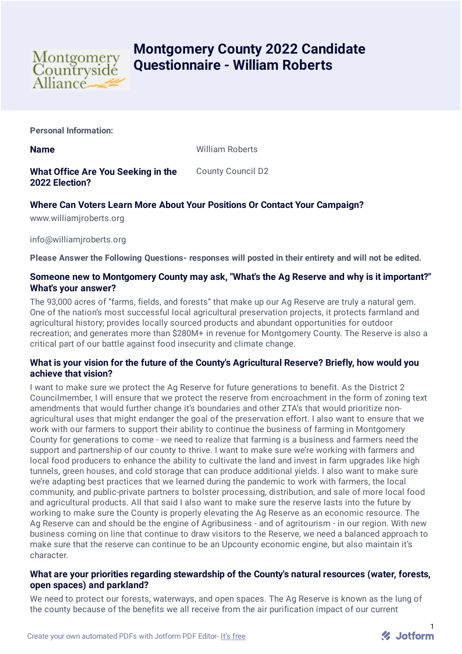

# **Montgomery County 2022 Candidate Questionnaire - William Roberts**

**Personal Information:**

**Name** William Roberts

**What Office Are You Seeking in the 2022 Election?** County Council D2

## **Where Can Voters Learn More About Your Positions Or Contact Your Campaign?**

www.williamjroberts.org

info@williamjroberts.org

**Please Answer the Following Questions- responses will posted in their entirety and will not be edited.**

#### **Someone new to Montgomery County may ask, "What's the Ag Reserve and why is it important?" What's your answer?**

The 93,000 acres of "farms, fields, and forests" that make up our Ag Reserve are truly a natural gem. One of the nation's most successful local agricultural preservation projects, it protects farmland and agricultural history; provides locally sourced products and abundant opportunities for outdoor recreation; and generates more than \$280M+ in revenue for Montgomery County. The Reserve is also a critical part of our battle against food insecurity and climate change.

## **What is your vision for the future of the County's Agricultural Reserve? Briefly, how would you achieve that vision?**

I want to make sure we protect the Ag Reserve for future generations to benefit. As the District 2 Councilmember, I will ensure that we protect the reserve from encroachment in the form of zoning text amendments that would further change it's boundaries and other ZTA's that would prioritize nonagricultural uses that might endanger the goal of the preservation effort. I also want to ensure that we work with our farmers to support their ability to continue the business of farming in Montgomery County for generations to come - we need to realize that farming is a business and farmers need the support and partnership of our county to thrive. I want to make sure we're working with farmers and local food producers to enhance the ability to cultivate the land and invest in farm upgrades like high tunnels, green houses, and cold storage that can produce additional yields. I also want to make sure we're adapting best practices that we learned during the pandemic to work with farmers, the local community, and public-private partners to bolster processing, distribution, and sale of more local food and agricultural products. All that said I also want to make sure the reserve lasts into the future by working to make sure the County is properly elevating the Ag Reserve as an economic resource. The Ag Reserve can and should be the engine of Agribusiness - and of agritourism - in our region. With new business coming on line that continue to draw visitors to the Reserve, we need a balanced approach to make sure that the reserve can continue to be an Upcounty economic engine, but also maintain it's character.

## **What are your priorities regarding stewardship of the County's natural resources (water, forests, open spaces) and parkland?**

We need to protect our forests, waterways, and open spaces. The Ag Reserve is known as the lung of the county because of the benefits we all receive from the air purification impact of our current

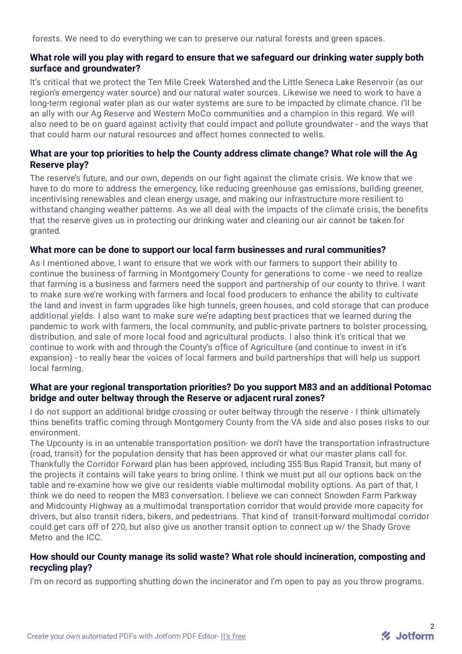forests. We need to do everything we can to preserve our natural forests and green spaces.

#### **What role will you play with regard to ensure that we safeguard our drinking water supply both surface and groundwater?**

It's critical that we protect the Ten Mile Creek Watershed and the Little Seneca Lake Reservoir (as our region's emergency water source) and our natural water sources. Likewise we need to work to have a long-term regional water plan as our water systems are sure to be impacted by climate chance. I'll be an ally with our Ag Reserve and Western MoCo communities and a champion in this regard. We will also need to be on guard against activity that could impact and pollute groundwater - and the ways that that could harm our natural resources and affect homes connected to wells.

## **What are your top priorities to help the County address climate change? What role will the Ag Reserve play?**

The reserve's future, and our own, depends on our fight against the climate crisis. We know that we have to do more to address the emergency, like reducing greenhouse gas emissions, building greener, incentivising renewables and clean energy usage, and making our infrastructure more resilient to withstand changing weather patterns. As we all deal with the impacts of the climate crisis, the benefits that the reserve gives us in protecting our drinking water and cleaning our air cannot be taken for granted.

#### **What more can be done to support our local farm businesses and rural communities?**

As I mentioned above, I want to ensure that we work with our farmers to support their ability to continue the business of farming in Montgomery County for generations to come - we need to realize that farming is a business and farmers need the support and partnership of our county to thrive. I want to make sure we're working with farmers and local food producers to enhance the ability to cultivate the land and invest in farm upgrades like high tunnels, green houses, and cold storage that can produce additional yields. I also want to make sure we're adapting best practices that we learned during the pandemic to work with farmers, the local community, and public-private partners to bolster processing, distribution, and sale of more local food and agricultural products. I also think it's critical that we continue to work with and through the County's office of Agriculture (and continue to invest in it's expansion) - to really hear the voices of local farmers and build partnerships that will help us support local farming.

#### **What are your regional transportation priorities? Do you support M83 and an additional Potomac bridge and outer beltway through the Reserve or adjacent rural zones?**

I do not support an additional bridge crossing or outer beltway through the reserve - I think ultimately thins benefits traffic coming through Montgomery County from the VA side and also poses risks to our environment.

The Upcounty is in an untenable transportation position- we don't have the transportation infrastructure (road, transit) for the population density that has been approved or what our master plans call for. Thankfully the Corridor Forward plan has been approved, including 355 Bus Rapid Transit, but many of the projects it contains will take years to bring online. I think we must put all our options back on the table and re-examine how we give our residents viable multimodal mobility options. As part of that, I think we do need to reopen the M83 conversation. I believe we can connect Snowden Farm Parkway and Midcounty Highway as a multimodal transportation corridor that would provide more capacity for drivers, but also transit riders, bikers, and pedestrians. That kind of transit-forward multimodal corridor could get cars off of 270, but also give us another transit option to connect up w/ the Shady Grove Metro and the ICC.

#### **How should our County manage its solid waste? What role should incineration, composting and recycling play?**

I'm on record as supporting shutting down the incinerator and I'm open to pay as you throw programs.